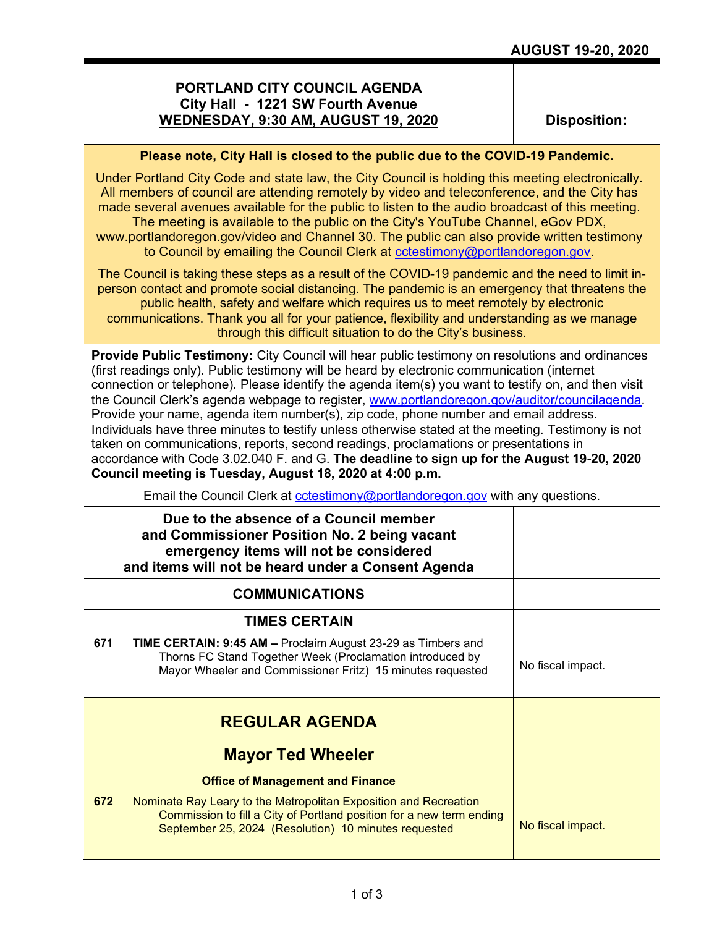## **PORTLAND CITY COUNCIL AGENDA City Hall - 1221 SW Fourth Avenue WEDNESDAY, 9:30 AM, AUGUST 19, 2020**

**Disposition:**

## **Please note, City Hall is closed to the public due to the COVID-19 Pandemic.**

Under Portland City Code and state law, the City Council is holding this meeting electronically. All members of council are attending remotely by video and teleconference, and the City has made several avenues available for the public to listen to the audio broadcast of this meeting. The meeting is available to the public on the City's YouTube Channel, eGov PDX,

www.portlandoregon.gov/video and Channel 30. The public can also provide written testimony to Council by emailing the Council Clerk at [cctestimony@portlandoregon.gov.](mailto:cctestimony@portlandoregon.gov)

The Council is taking these steps as a result of the COVID-19 pandemic and the need to limit inperson contact and promote social distancing. The pandemic is an emergency that threatens the public health, safety and welfare which requires us to meet remotely by electronic communications. Thank you all for your patience, flexibility and understanding as we manage through this difficult situation to do the City's business.

**Provide Public Testimony:** City Council will hear public testimony on resolutions and ordinances (first readings only). Public testimony will be heard by electronic communication (internet connection or telephone). Please identify the agenda item(s) you want to testify on, and then visit the Council Clerk's agenda webpage to register, [www.portlandoregon.gov/auditor/councilagenda.](http://www.portlandoregon.gov/auditor/councilagenda) Provide your name, agenda item number(s), zip code, phone number and email address. Individuals have three minutes to testify unless otherwise stated at the meeting. Testimony is not taken on communications, reports, second readings, proclamations or presentations in accordance with Code 3.02.040 F. and G. **The deadline to sign up for the August 19-20, 2020 Council meeting is Tuesday, August 18, 2020 at 4:00 p.m.**

Email the Council Clerk at [cctestimony@portlandoregon.gov](mailto:cctestimony@portlandoregon.gov) with any questions.

|     | Due to the absence of a Council member<br>and Commissioner Position No. 2 being vacant<br>emergency items will not be considered<br>and items will not be heard under a Consent Agenda           |                   |
|-----|--------------------------------------------------------------------------------------------------------------------------------------------------------------------------------------------------|-------------------|
|     | <b>COMMUNICATIONS</b>                                                                                                                                                                            |                   |
|     | <b>TIMES CERTAIN</b>                                                                                                                                                                             |                   |
| 671 | <b>TIME CERTAIN: 9:45 AM - Proclaim August 23-29 as Timbers and</b><br>Thorns FC Stand Together Week (Proclamation introduced by<br>Mayor Wheeler and Commissioner Fritz) 15 minutes requested   | No fiscal impact. |
|     | <b>REGULAR AGENDA</b>                                                                                                                                                                            |                   |
|     | <b>Mayor Ted Wheeler</b>                                                                                                                                                                         |                   |
|     | <b>Office of Management and Finance</b>                                                                                                                                                          |                   |
| 672 | Nominate Ray Leary to the Metropolitan Exposition and Recreation<br>Commission to fill a City of Portland position for a new term ending<br>September 25, 2024 (Resolution) 10 minutes requested | No fiscal impact. |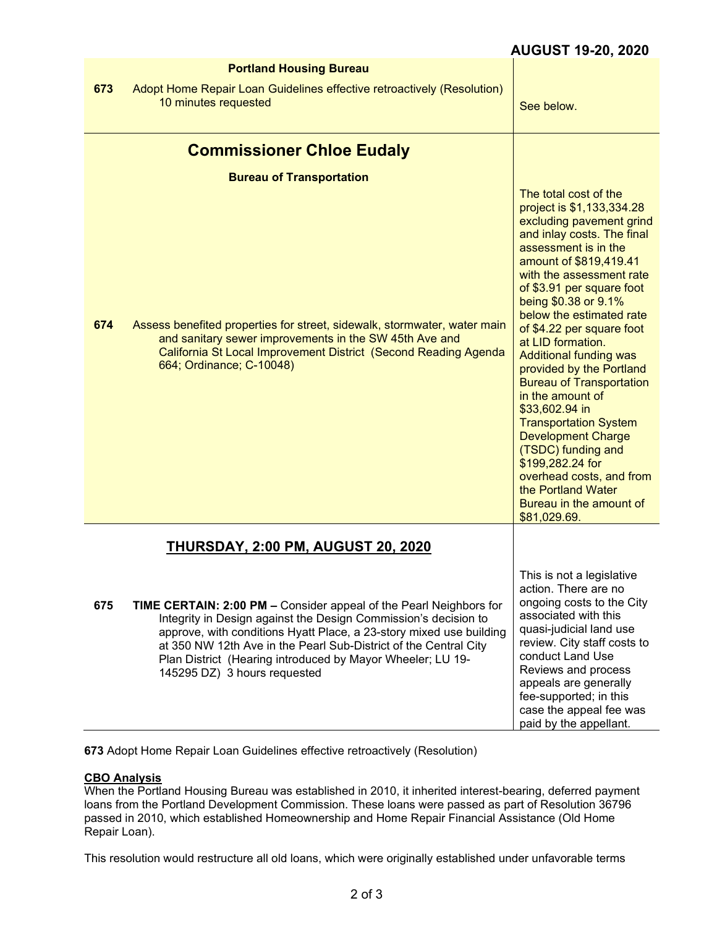|     | <b>Portland Housing Bureau</b>                                                                                                                                                                                                                                                                                                                                                 |                                                                                                                                                                                                                                                                                                                                                                                                                                                                                                                                                                                                                                                                         |
|-----|--------------------------------------------------------------------------------------------------------------------------------------------------------------------------------------------------------------------------------------------------------------------------------------------------------------------------------------------------------------------------------|-------------------------------------------------------------------------------------------------------------------------------------------------------------------------------------------------------------------------------------------------------------------------------------------------------------------------------------------------------------------------------------------------------------------------------------------------------------------------------------------------------------------------------------------------------------------------------------------------------------------------------------------------------------------------|
| 673 | Adopt Home Repair Loan Guidelines effective retroactively (Resolution)<br>10 minutes requested                                                                                                                                                                                                                                                                                 | See below.                                                                                                                                                                                                                                                                                                                                                                                                                                                                                                                                                                                                                                                              |
|     | <b>Commissioner Chloe Eudaly</b>                                                                                                                                                                                                                                                                                                                                               |                                                                                                                                                                                                                                                                                                                                                                                                                                                                                                                                                                                                                                                                         |
|     | <b>Bureau of Transportation</b>                                                                                                                                                                                                                                                                                                                                                |                                                                                                                                                                                                                                                                                                                                                                                                                                                                                                                                                                                                                                                                         |
| 674 | Assess benefited properties for street, sidewalk, stormwater, water main<br>and sanitary sewer improvements in the SW 45th Ave and<br>California St Local Improvement District (Second Reading Agenda<br>664; Ordinance; C-10048)                                                                                                                                              | The total cost of the<br>project is \$1,133,334.28<br>excluding pavement grind<br>and inlay costs. The final<br>assessment is in the<br>amount of \$819,419.41<br>with the assessment rate<br>of \$3.91 per square foot<br>being \$0.38 or 9.1%<br>below the estimated rate<br>of \$4.22 per square foot<br>at LID formation.<br><b>Additional funding was</b><br>provided by the Portland<br><b>Bureau of Transportation</b><br>in the amount of<br>\$33,602.94 in<br><b>Transportation System</b><br><b>Development Charge</b><br>(TSDC) funding and<br>\$199,282.24 for<br>overhead costs, and from<br>the Portland Water<br>Bureau in the amount of<br>\$81,029.69. |
|     | <b>THURSDAY, 2:00 PM, AUGUST 20, 2020</b>                                                                                                                                                                                                                                                                                                                                      |                                                                                                                                                                                                                                                                                                                                                                                                                                                                                                                                                                                                                                                                         |
| 675 | TIME CERTAIN: 2:00 PM - Consider appeal of the Pearl Neighbors for<br>Integrity in Design against the Design Commission's decision to<br>approve, with conditions Hyatt Place, a 23-story mixed use building<br>at 350 NW 12th Ave in the Pearl Sub-District of the Central City<br>Plan District (Hearing introduced by Mayor Wheeler; LU 19-<br>145295 DZ) 3 hours requested | This is not a legislative<br>action. There are no<br>ongoing costs to the City<br>associated with this<br>quasi-judicial land use<br>review. City staff costs to<br>conduct Land Use<br>Reviews and process<br>appeals are generally<br>fee-supported; in this<br>case the appeal fee was<br>paid by the appellant.                                                                                                                                                                                                                                                                                                                                                     |

**673** Adopt Home Repair Loan Guidelines effective retroactively (Resolution)

## **CBO Analysis**

When the Portland Housing Bureau was established in 2010, it inherited interest-bearing, deferred payment loans from the Portland Development Commission. These loans were passed as part of Resolution 36796 passed in 2010, which established Homeownership and Home Repair Financial Assistance (Old Home Repair Loan).

This resolution would restructure all old loans, which were originally established under unfavorable terms